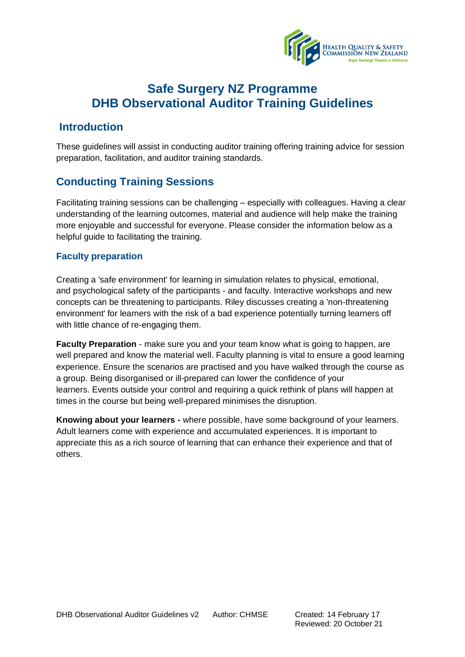

### **Introduction**

These guidelines will assist in conducting auditor training offering training advice for session preparation, facilitation, and auditor training standards.

### **Conducting Training Sessions**

Facilitating training sessions can be challenging – especially with colleagues. Having a clear understanding of the learning outcomes, material and audience will help make the training more enjoyable and successful for everyone. Please consider the information below as a helpful guide to facilitating the training.

### **Faculty preparation**

Creating a 'safe environment' for learning in simulation relates to physical, emotional, and psychological safety of the participants - and faculty. Interactive workshops and new concepts can be threatening to participants. Riley discusses creating a 'non-threatening environment' for learners with the risk of a bad experience potentially turning learners off with little chance of re-engaging them.

**Faculty Preparation** - make sure you and your team know what is going to happen, are well prepared and know the material well. Faculty planning is vital to ensure a good learning experience. Ensure the scenarios are practised and you have walked through the course as a group. Being disorganised or ill-prepared can lower the confidence of your learners. Events outside your control and requiring a quick rethink of plans will happen at times in the course but being well-prepared minimises the disruption.

**Knowing about your learners -** where possible, have some background of your learners. Adult learners come with experience and accumulated experiences. It is important to appreciate this as a rich source of learning that can enhance their experience and that of others.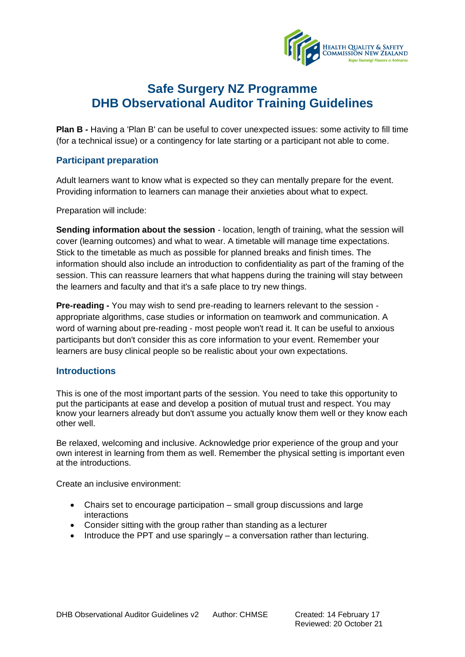

**Plan B -** Having a 'Plan B' can be useful to cover unexpected issues: some activity to fill time (for a technical issue) or a contingency for late starting or a participant not able to come.

#### **Participant preparation**

Adult learners want to know what is expected so they can mentally prepare for the event. Providing information to learners can manage their anxieties about what to expect.

Preparation will include:

**Sending information about the session** - location, length of training, what the session will cover (learning outcomes) and what to wear. A timetable will manage time expectations. Stick to the timetable as much as possible for planned breaks and finish times. The information should also include an introduction to confidentiality as part of the framing of the session. This can reassure learners that what happens during the training will stay between the learners and faculty and that it's a safe place to try new things.

**Pre-reading -** You may wish to send pre-reading to learners relevant to the session appropriate algorithms, case studies or information on teamwork and communication. A word of warning about pre-reading - most people won't read it. It can be useful to anxious participants but don't consider this as core information to your event. Remember your learners are busy clinical people so be realistic about your own expectations.

#### **Introductions**

This is one of the most important parts of the session. You need to take this opportunity to put the participants at ease and develop a position of mutual trust and respect. You may know your learners already but don't assume you actually know them well or they know each other well.

Be relaxed, welcoming and inclusive. Acknowledge prior experience of the group and your own interest in learning from them as well. Remember the physical setting is important even at the introductions.

Create an inclusive environment:

- Chairs set to encourage participation small group discussions and large interactions
- Consider sitting with the group rather than standing as a lecturer
- Introduce the PPT and use sparingly a conversation rather than lecturing.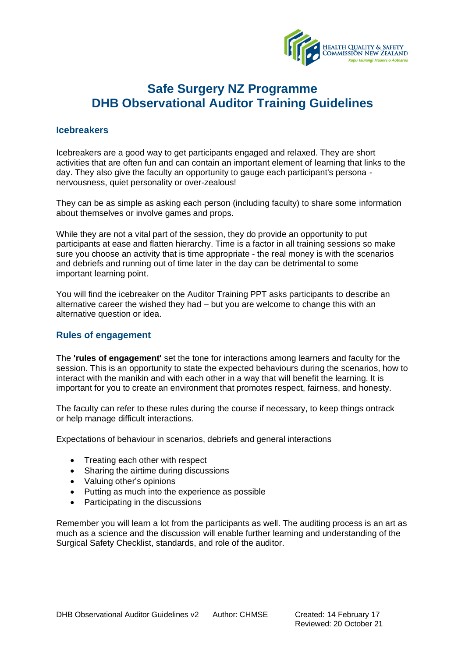

#### **Icebreakers**

Icebreakers are a good way to get participants engaged and relaxed. They are short activities that are often fun and can contain an important element of learning that links to the day. They also give the faculty an opportunity to gauge each participant's persona nervousness, quiet personality or over-zealous!

They can be as simple as asking each person (including faculty) to share some information about themselves or involve games and props.

While they are not a vital part of the session, they do provide an opportunity to put participants at ease and flatten hierarchy. Time is a factor in all training sessions so make sure you choose an activity that is time appropriate - the real money is with the scenarios and debriefs and running out of time later in the day can be detrimental to some important learning point.

You will find the icebreaker on the Auditor Training PPT asks participants to describe an alternative career the wished they had – but you are welcome to change this with an alternative question or idea.

#### **Rules of engagement**

The **'rules of engagement'** set the tone for interactions among learners and faculty for the session. This is an opportunity to state the expected behaviours during the scenarios, how to interact with the manikin and with each other in a way that will benefit the learning. It is important for you to create an environment that promotes respect, fairness, and honesty.

The faculty can refer to these rules during the course if necessary, to keep things ontrack or help manage difficult interactions.

Expectations of behaviour in scenarios, debriefs and general interactions

- Treating each other with respect
- Sharing the airtime during discussions
- Valuing other's opinions
- Putting as much into the experience as possible
- Participating in the discussions

Remember you will learn a lot from the participants as well. The auditing process is an art as much as a science and the discussion will enable further learning and understanding of the Surgical Safety Checklist, standards, and role of the auditor.